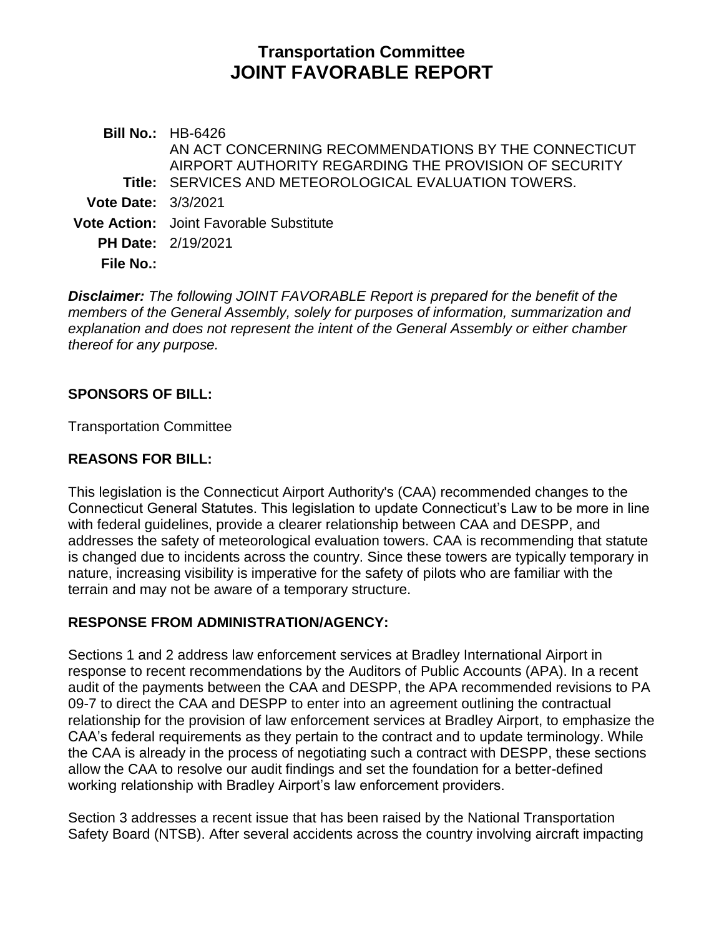# **Transportation Committee JOINT FAVORABLE REPORT**

**Bill No.:** HB-6426 **Title:** SERVICES AND METEOROLOGICAL EVALUATION TOWERS. AN ACT CONCERNING RECOMMENDATIONS BY THE CONNECTICUT AIRPORT AUTHORITY REGARDING THE PROVISION OF SECURITY **Vote Date:** 3/3/2021 **Vote Action:** Joint Favorable Substitute **PH Date:** 2/19/2021 **File No.:**

*Disclaimer: The following JOINT FAVORABLE Report is prepared for the benefit of the members of the General Assembly, solely for purposes of information, summarization and explanation and does not represent the intent of the General Assembly or either chamber thereof for any purpose.*

### **SPONSORS OF BILL:**

Transportation Committee

# **REASONS FOR BILL:**

This legislation is the Connecticut Airport Authority's (CAA) recommended changes to the Connecticut General Statutes. This legislation to update Connecticut's Law to be more in line with federal guidelines, provide a clearer relationship between CAA and DESPP, and addresses the safety of meteorological evaluation towers. CAA is recommending that statute is changed due to incidents across the country. Since these towers are typically temporary in nature, increasing visibility is imperative for the safety of pilots who are familiar with the terrain and may not be aware of a temporary structure.

### **RESPONSE FROM ADMINISTRATION/AGENCY:**

Sections 1 and 2 address law enforcement services at Bradley International Airport in response to recent recommendations by the Auditors of Public Accounts (APA). In a recent audit of the payments between the CAA and DESPP, the APA recommended revisions to PA 09-7 to direct the CAA and DESPP to enter into an agreement outlining the contractual relationship for the provision of law enforcement services at Bradley Airport, to emphasize the CAA's federal requirements as they pertain to the contract and to update terminology. While the CAA is already in the process of negotiating such a contract with DESPP, these sections allow the CAA to resolve our audit findings and set the foundation for a better-defined working relationship with Bradley Airport's law enforcement providers.

Section 3 addresses a recent issue that has been raised by the National Transportation Safety Board (NTSB). After several accidents across the country involving aircraft impacting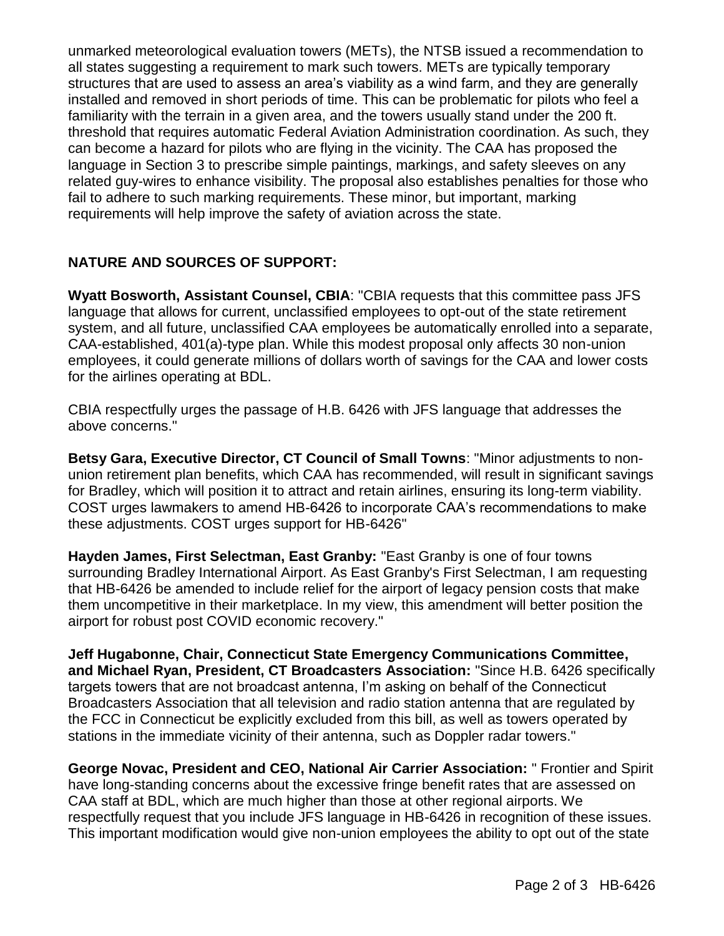unmarked meteorological evaluation towers (METs), the NTSB issued a recommendation to all states suggesting a requirement to mark such towers. METs are typically temporary structures that are used to assess an area's viability as a wind farm, and they are generally installed and removed in short periods of time. This can be problematic for pilots who feel a familiarity with the terrain in a given area, and the towers usually stand under the 200 ft. threshold that requires automatic Federal Aviation Administration coordination. As such, they can become a hazard for pilots who are flying in the vicinity. The CAA has proposed the language in Section 3 to prescribe simple paintings, markings, and safety sleeves on any related guy-wires to enhance visibility. The proposal also establishes penalties for those who fail to adhere to such marking requirements. These minor, but important, marking requirements will help improve the safety of aviation across the state.

# **NATURE AND SOURCES OF SUPPORT:**

**Wyatt Bosworth, Assistant Counsel, CBIA**: "CBIA requests that this committee pass JFS language that allows for current, unclassified employees to opt-out of the state retirement system, and all future, unclassified CAA employees be automatically enrolled into a separate, CAA-established, 401(a)-type plan. While this modest proposal only affects 30 non-union employees, it could generate millions of dollars worth of savings for the CAA and lower costs for the airlines operating at BDL.

CBIA respectfully urges the passage of H.B. 6426 with JFS language that addresses the above concerns."

**Betsy Gara, Executive Director, CT Council of Small Towns**: "Minor adjustments to nonunion retirement plan benefits, which CAA has recommended, will result in significant savings for Bradley, which will position it to attract and retain airlines, ensuring its long-term viability. COST urges lawmakers to amend HB-6426 to incorporate CAA's recommendations to make these adjustments. COST urges support for HB-6426"

**Hayden James, First Selectman, East Granby:** "East Granby is one of four towns surrounding Bradley International Airport. As East Granby's First Selectman, I am requesting that HB-6426 be amended to include relief for the airport of legacy pension costs that make them uncompetitive in their marketplace. In my view, this amendment will better position the airport for robust post COVID economic recovery."

**Jeff Hugabonne, Chair, Connecticut State Emergency Communications Committee, and Michael Ryan, President, CT Broadcasters Association:** "Since H.B. 6426 specifically targets towers that are not broadcast antenna, I'm asking on behalf of the Connecticut Broadcasters Association that all television and radio station antenna that are regulated by the FCC in Connecticut be explicitly excluded from this bill, as well as towers operated by stations in the immediate vicinity of their antenna, such as Doppler radar towers."

**George Novac, President and CEO, National Air Carrier Association:** " Frontier and Spirit have long-standing concerns about the excessive fringe benefit rates that are assessed on CAA staff at BDL, which are much higher than those at other regional airports. We respectfully request that you include JFS language in HB-6426 in recognition of these issues. This important modification would give non-union employees the ability to opt out of the state